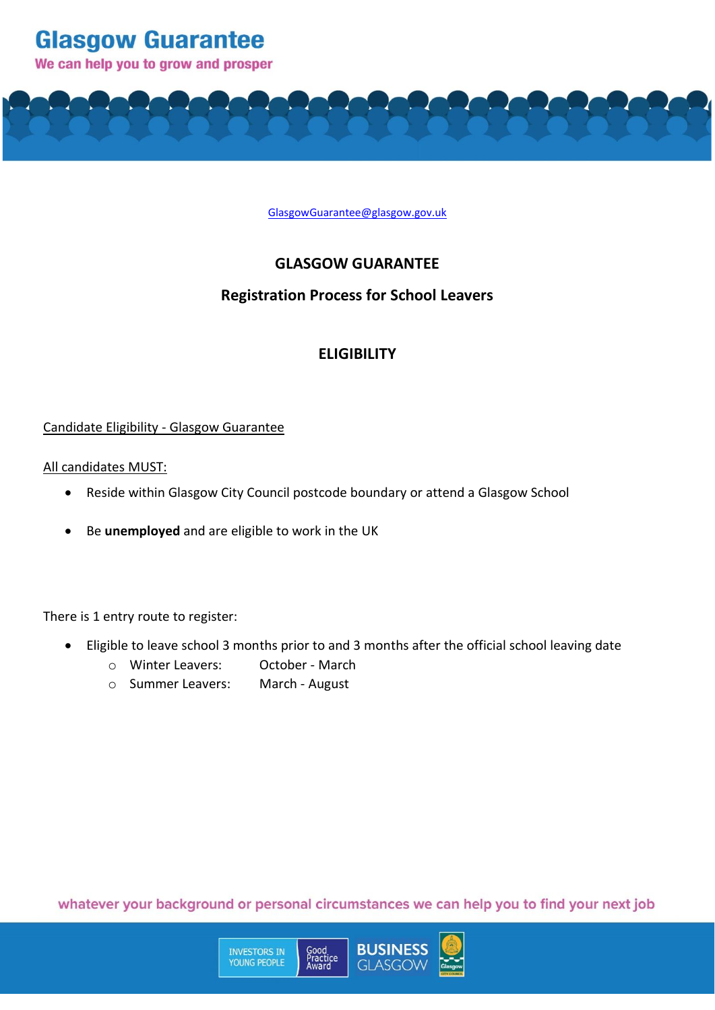

We can help you to grow and prosper



## **GLASGOW GUARANTEE**

### **Registration Process for School Leavers**

## **ELIGIBILITY**

### Candidate Eligibility - Glasgow Guarantee

### All candidates MUST:

- Reside within Glasgow City Council postcode boundary or attend a Glasgow School
- Be **unemployed** and are eligible to work in the UK

There is 1 entry route to register:

- Eligible to leave school 3 months prior to and 3 months after the official school leaving date
	- o Winter Leavers: October March
	- o Summer Leavers: March August

**INVESTORS IN**<br>YOUNG PEOPLE

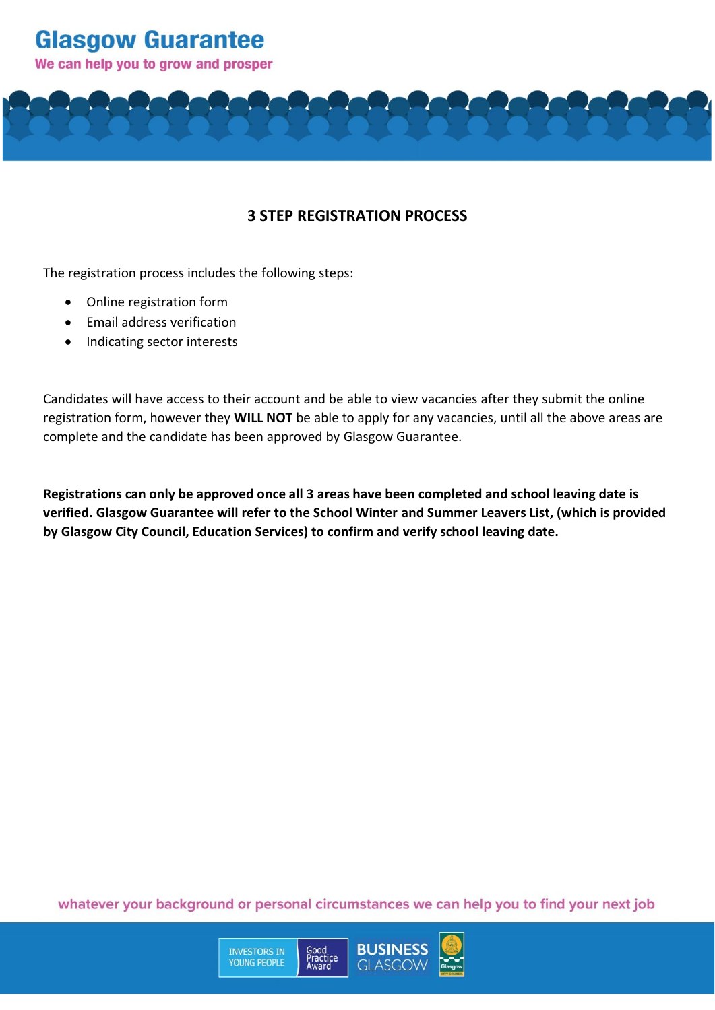We can help you to grow and prosper

## **3 STEP REGISTRATION PROCESS**

The registration process includes the following steps:

- Online registration form
- Email address verification
- Indicating sector interests

Candidates will have access to their account and be able to view vacancies after they submit the online registration form, however they **WILL NOT** be able to apply for any vacancies, until all the above areas are complete and the candidate has been approved by Glasgow Guarantee.

**Registrations can only be approved once all 3 areas have been completed and school leaving date is verified. Glasgow Guarantee will refer to the School Winter and Summer Leavers List, (which is provided by Glasgow City Council, Education Services) to confirm and verify school leaving date.**

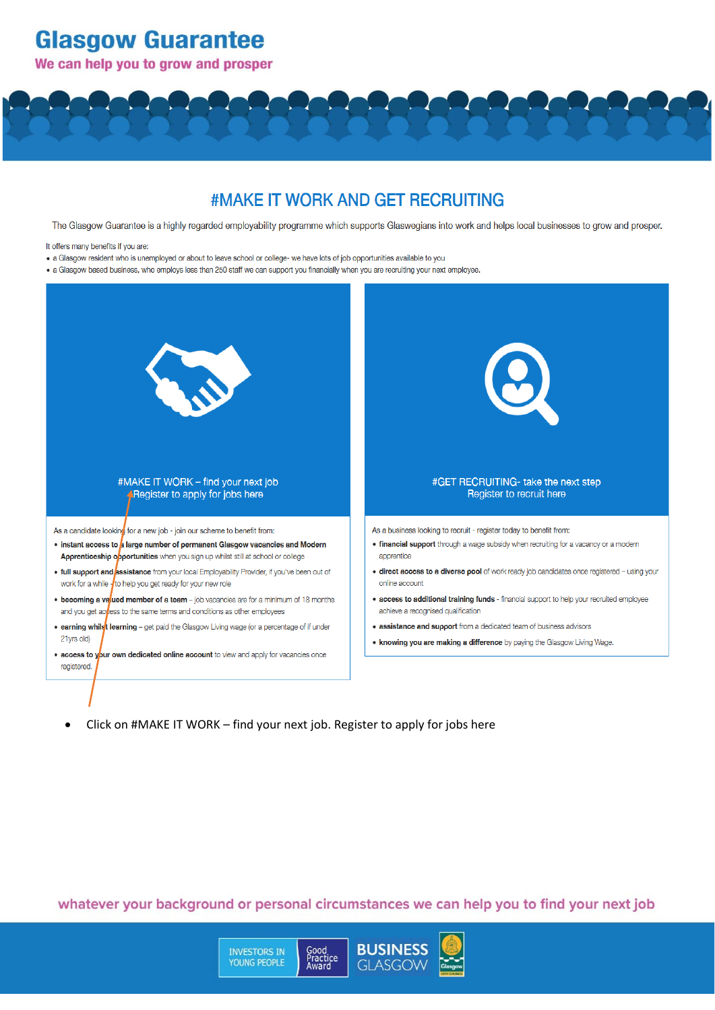We can help you to grow and prosper

## #MAKE IT WORK AND GET RECRUITING

The Glasgow Guarantee is a highly regarded employability programme which supports Glaswegians into work and helps local businesses to grow and prosper.

- It offers many benefits if you are:
- . a Glasgow resident who is unemployed or about to leave school or college- we have lots of job opportunities available to you

. a Glasgow based business, who employs less than 250 staff we can support you financially when you are recruiting your next employee.



Click on #MAKE IT WORK - find your next job. Register to apply for jobs here  $\bullet$ 

> **INVESTORS IN** YOUNG PEOPLE

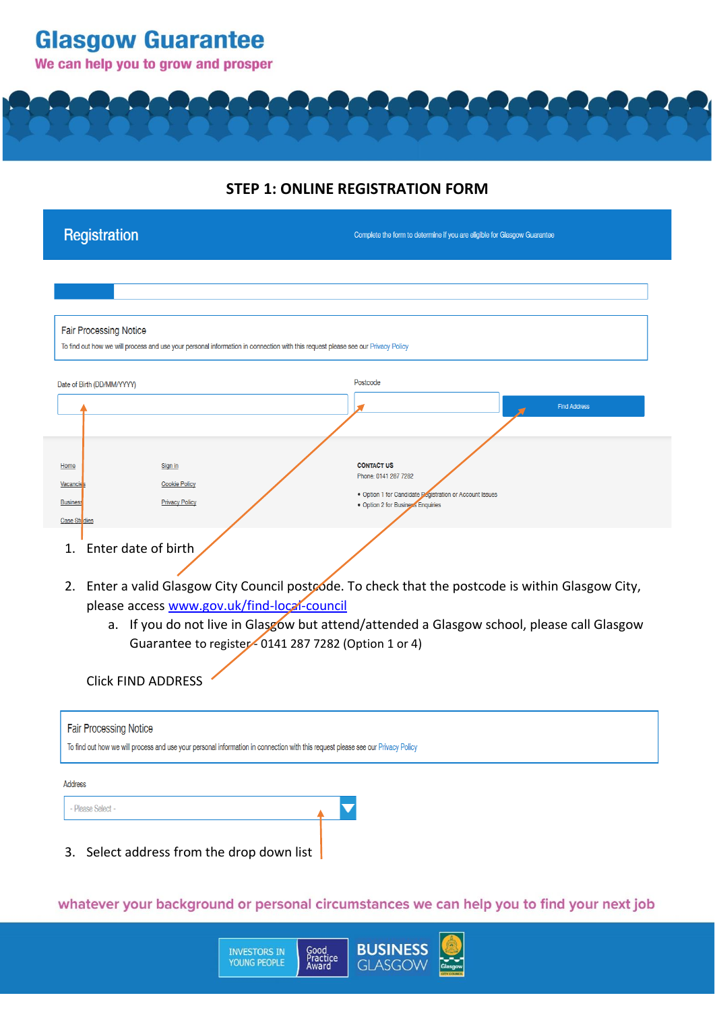## We can help you to grow and prosper

## **STEP 1: ONLINE REGISTRATION FORM**

| Registration                                                                                                                                                     | Complete the form to determine if you are eligible for Glasgow Guarantee                                                                                                                      |
|------------------------------------------------------------------------------------------------------------------------------------------------------------------|-----------------------------------------------------------------------------------------------------------------------------------------------------------------------------------------------|
|                                                                                                                                                                  |                                                                                                                                                                                               |
| <b>Fair Processing Notice</b><br>To find out how we will process and use your personal information in connection with this request please see our Privacy Policy |                                                                                                                                                                                               |
| Date of Birth (DD/MM/YYYY)                                                                                                                                       | Postcode<br><b>Find Address</b>                                                                                                                                                               |
| Home<br>Sign in<br><b>Cookie Policy</b><br><b>Vacancie</b><br><b>Privacy Policy</b><br><b>Business</b><br>Case Stu dies                                          | <b>CONTACT US</b><br>Phone: 0141 287 7282<br>. Option 1 for Candidate Begistration or Account Issues<br>· Option 2 for Business Enquiries                                                     |
| Enter date of birth<br>1.<br>2.<br>please access www.gov.uk/find-local-council<br>Guarantee to register - 0141 287 7282 (Option 1 or 4)                          | Enter a valid Glasgow City Council postcode. To check that the postcode is within Glasgow City,<br>a. If you do not live in Glasgow but attend/attended a Glasgow school, please call Glasgow |
| <b>Click FIND ADDRESS</b>                                                                                                                                        |                                                                                                                                                                                               |
| <b>Fair Processing Notice</b><br>To find out how we will process and use your personal information in connection with this request please see our Privacy Policy |                                                                                                                                                                                               |
| Address<br>- Please Select -                                                                                                                                     |                                                                                                                                                                                               |
| 3. Select address from the drop down list                                                                                                                        |                                                                                                                                                                                               |

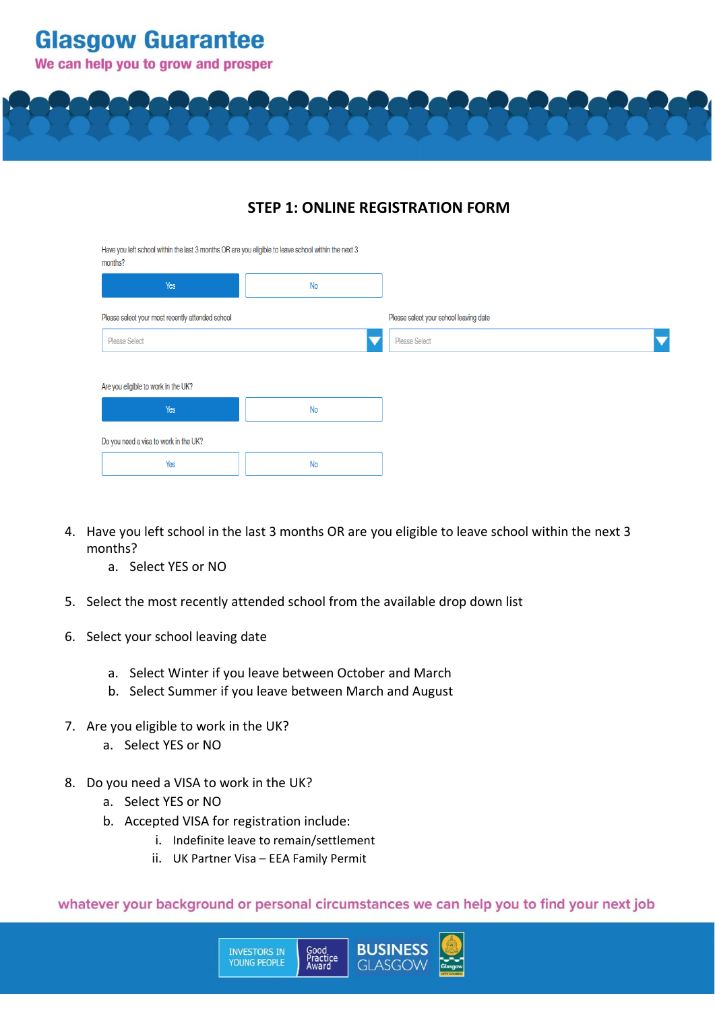We can help you to grow and prosper



## **STEP 1: ONLINE REGISTRATION FORM**

Have you left school within the last 3 months OR are you eligible to leave school within the next 3

| <b>HOHLIS!</b>                                   |           |                                        |
|--------------------------------------------------|-----------|----------------------------------------|
| Yes                                              | <b>No</b> |                                        |
| Please select your most recently attended school |           | Please select your school leaving date |
| <b>Please Select</b>                             |           | <b>Please Select</b>                   |
|                                                  |           |                                        |
| Are you eligible to work in the UK?              |           |                                        |
| Yes                                              | <b>No</b> |                                        |
| Do you need a visa to work in the UK?            |           |                                        |
| Yes                                              | <b>No</b> |                                        |
|                                                  |           |                                        |

- 4. Have you left school in the last 3 months OR are you eligible to leave school within the next 3 months?
	- a. Select YES or NO
- 5. Select the most recently attended school from the available drop down list
- 6. Select your school leaving date
	- a. Select Winter if you leave between October and March
	- b. Select Summer if you leave between March and August
- 7. Are you eligible to work in the UK?
	- a. Select YES or NO
- 8. Do you need a VISA to work in the UK?
	- a. Select YES or NO
	- b. Accepted VISA for registration include:
		- i. Indefinite leave to remain/settlement
		- ii. UK Partner Visa EEA Family Permit

**INVESTORS IN**<br>YOUNG PEOPLE

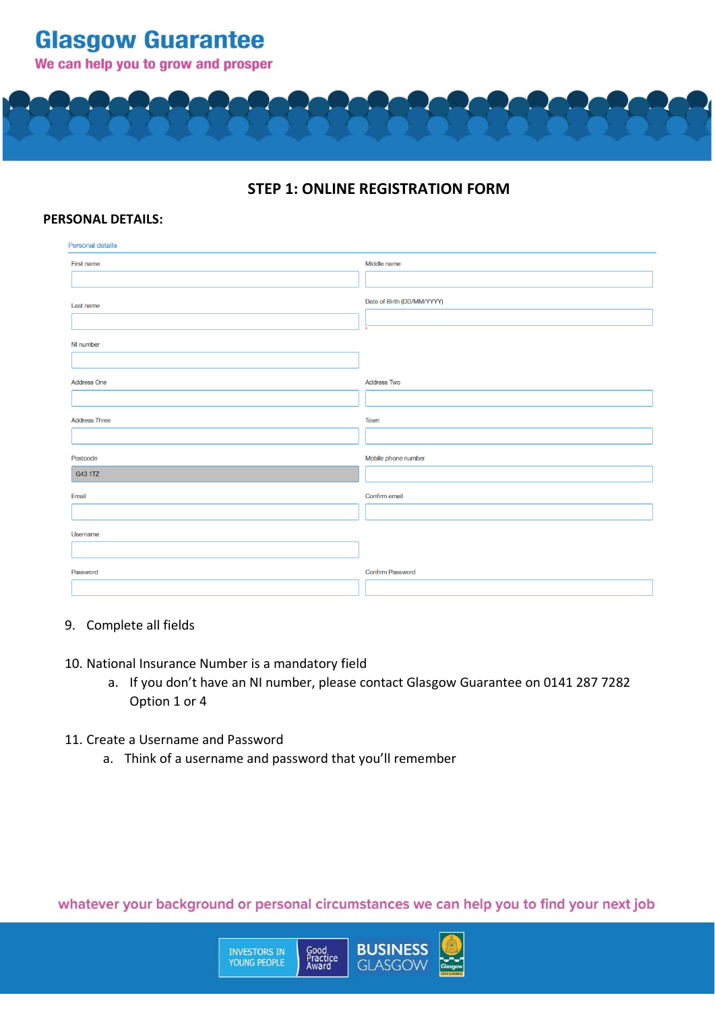We can help you to grow and prosper

**Glasgow Guarantee** 



## **STEP 1: ONLINE REGISTRATION FORM**

#### **PERSONAL DETAILS:**

| Personal details     |                            |
|----------------------|----------------------------|
| First name           | Middle name                |
| Last name            | Date of Birth (DD/MM/YYYY) |
| NI number            |                            |
| <b>Address One</b>   | <b>Address Two</b>         |
| <b>Address Three</b> | Town                       |
| Postcode<br>G43 1TZ  | Mobile phone number        |
| Email                | Confirm email              |
| Username             |                            |
| Password             | <b>Confirm Password</b>    |

#### 9. Complete all fields

#### 10. National Insurance Number is a mandatory field

- a. If you don't have an NI number, please contact Glasgow Guarantee on 0141 287 7282 Option 1 or 4
- 11. Create a Username and Password
	- a. Think of a username and password that you'll remember

**INVESTORS IN**<br>YOUNG PEOPLE

whatever your background or personal circumstances we can help you to find your next job

Good<br>Practice<br>Award

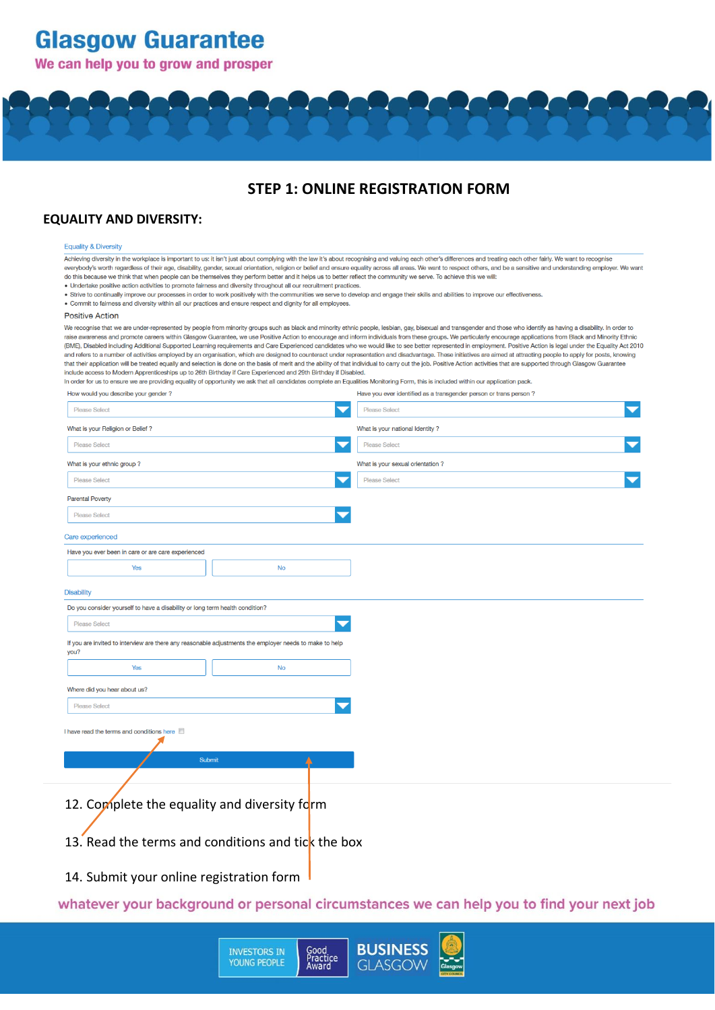### We can help you to grow and prosper



## **STEP 1: ONLINE REGISTRATION FORM**

#### **EQUALITY AND DIVERSITY:**

#### **Equality & Diversity**

Achieving diversity in the workplace is important to us: it isn't just about complying with the law it's about recognising and valuing each other's differences and treating each other fairly. We want to recognise everybody's worth regardless of their age, disability, gender, sexual orientation, religion or belief and ensure equality across all areas. We want to respect others, and be a sensitive and understanding employer. We want do this because we think that when people can be themselves they perform better and it helps us to better reflect the community we serve. To achieve this we will:

- . Undertake positive action activities to promote fairness and diversity throughout all our recruitment practices.
- . Strive to continually improve our processes in order to work positively with the communities we serve to develop and engage their skills and abilities to improve our effectiveness.
- . Commit to fairness and diversity within all our practices and ensure respect and dignity for all employees.

#### **Positive Action**

We recognise that we are under-represented by people from minority groups such as black and minority ethnic people, lesbian, gay, bisexual and transgender and those who identify as having a disability. In order to raise awareness and promote careers within Glasgow Guarantee, we use Positive Action to encourage and inform individuals from these groups. We particularly encourage applications from Black and Minority Ethnic (BME), Disabled including Additional Supported Learning requirements and Care Experienced candidates who we would like to see better represented in employment. Positive Action is legal under the Equality Act 2010 and refers to a number of activities employed by an organisation, which are designed to counteract under representation and disadvantage. These initiatives are aimed at attracting people to apply for posts, knowing that their application will be treated equally and selection is done on the basis of merit and the ability of that individual to carry out the job. Positive Action activities that are supported through Glasgow Guarantee include access to Modern Apprenticeships up to 26th Birthday if Care Experienced and 29th Birthday if Disabled.

In order for us to ensure we are providing equality of opportunity we ask that all candidates complete an Equalities Monitoring Form, this is included within our application pack. How would you describe your gender? Have you ever identified as a transgender person or trans person?

| <b>Please Select</b>                                                                                            |           | <b>Please Select</b>             |  |
|-----------------------------------------------------------------------------------------------------------------|-----------|----------------------------------|--|
| What is your Religion or Belief?                                                                                |           | What is your national Identity?  |  |
| <b>Please Select</b>                                                                                            |           | <b>Please Select</b>             |  |
| What is your ethnic group?                                                                                      |           | What is your sexual orientation? |  |
| <b>Please Select</b>                                                                                            |           | <b>Please Select</b>             |  |
| <b>Parental Poverty</b>                                                                                         |           |                                  |  |
| <b>Please Select</b>                                                                                            |           |                                  |  |
| Care experienced                                                                                                |           |                                  |  |
| Have you ever been in care or are care experienced                                                              |           |                                  |  |
| Yes                                                                                                             | <b>No</b> |                                  |  |
| <b>Disability</b>                                                                                               |           |                                  |  |
| Do you consider yourself to have a disability or long term health condition?                                    |           |                                  |  |
| <b>Please Select</b>                                                                                            |           |                                  |  |
| If you are invited to interview are there any reasonable adjustments the employer needs to make to help<br>you? |           |                                  |  |
| Yes                                                                                                             | <b>No</b> |                                  |  |
| Where did you hear about us?                                                                                    |           |                                  |  |
| <b>Please Select</b>                                                                                            |           |                                  |  |
| I have read the terms and conditions here                                                                       |           |                                  |  |
|                                                                                                                 | Submit    |                                  |  |
| 12. Complete the equality and diversity form                                                                    |           |                                  |  |
| 13. Read the terms and conditions and tic $\bf{k}$ the box                                                      |           |                                  |  |

14. Submit your online registration form

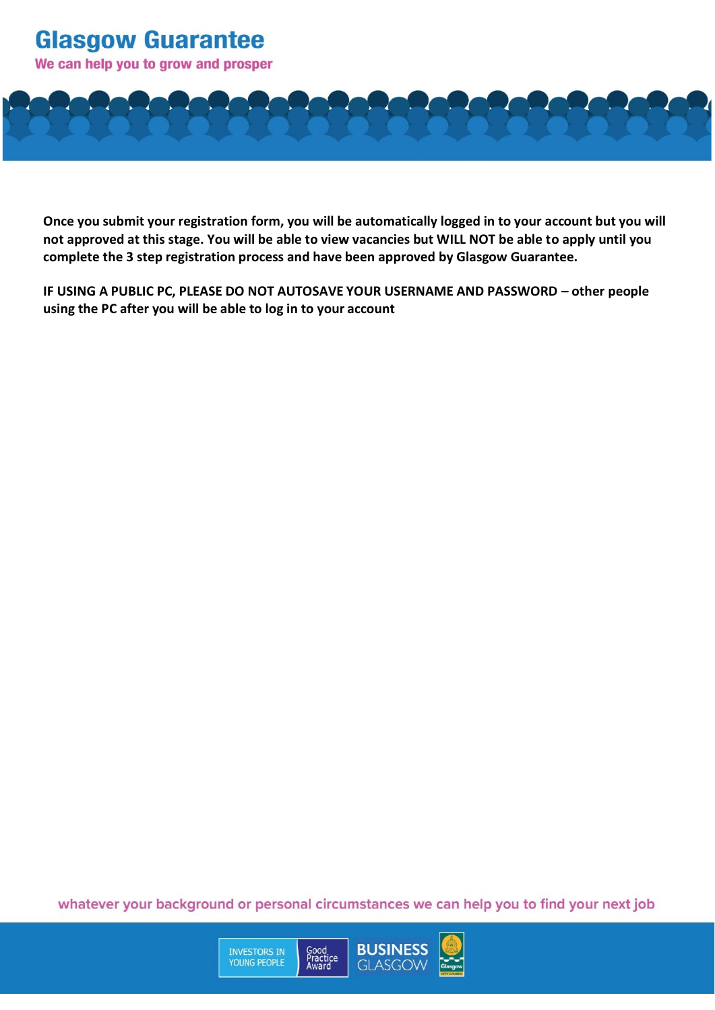We can help you to grow and prosper



**Once you submit your registration form, you will be automatically logged in to your account but you will not approved at this stage. You will be able to view vacancies but WILL NOT be able to apply until you complete the 3 step registration process and have been approved by Glasgow Guarantee.**

**IF USING A PUBLIC PC, PLEASE DO NOT AUTOSAVE YOUR USERNAME AND PASSWORD – other people using the PC after you will be able to log in to your account**

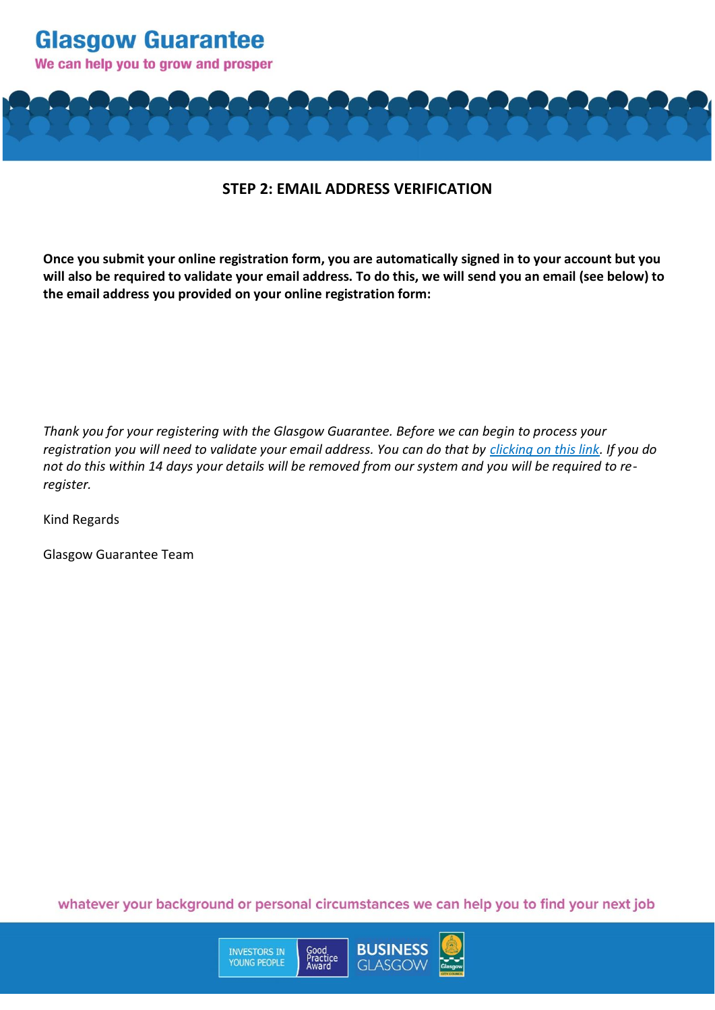

### **STEP 2: EMAIL ADDRESS VERIFICATION**

**Once you submit your online registration form, you are automatically signed in to your account but you will also be required to validate your email address. To do this, we will send you an email (see below) to the email address you provided on your online registration form:**

*Thank you for your registering with the Glasgow Guarantee. Before we can begin to process your registration you will need to validate your email address. You can do that by clicking on this link. If you do not do this within 14 days your details will be removed from our system and you will be required to reregister.*

Kind Regards

Glasgow Guarantee Team

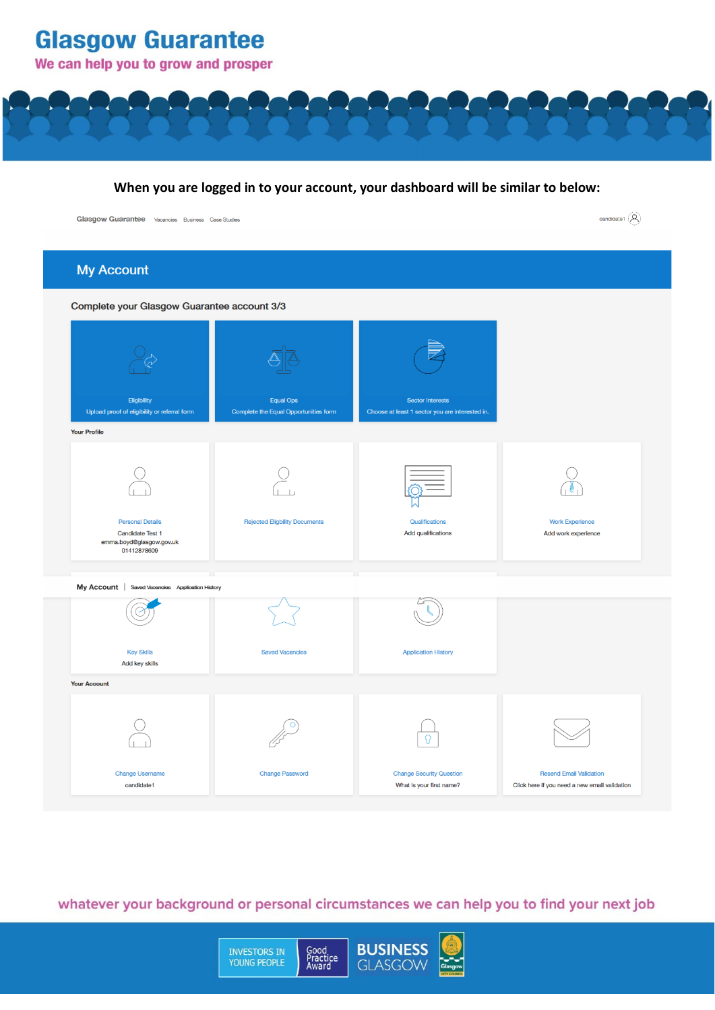



| <b>My Account</b>                                                                      |                                       |                                                 |                                               |
|----------------------------------------------------------------------------------------|---------------------------------------|-------------------------------------------------|-----------------------------------------------|
| Complete your Glasgow Guarantee account 3/3                                            |                                       |                                                 |                                               |
| Eligibility                                                                            | <b>Equal Ops</b>                      | Sector Interests                                |                                               |
| Upload proof of eligibility or referral form<br><b>Your Profile</b>                    | Complete the Equal Opportunities form | Choose at least 1 sector you are interested in. |                                               |
| <b>Personal Details</b><br>Candidate Test 1<br>emma.boyd@glasgow.gov.uk<br>01412878609 | <b>Rejected Eligbility Documents</b>  | Qualifications<br>Add qualifications            | <b>Work Experience</b><br>Add work experience |
| My Account   Saved Vacancies Application History                                       |                                       |                                                 |                                               |
| <b>Key Skills</b><br>Add key skills                                                    | <b>Saved Vacancies</b>                | <b>Application History</b>                      |                                               |
| <b>Your Account</b>                                                                    |                                       |                                                 |                                               |
|                                                                                        |                                       |                                                 |                                               |
| Change Username<br>candidate1                                                          | <b>Change Password</b>                | <b>Change Security Question</b>                 | <b>Resend Email Validation</b>                |

whatever your background or personal circumstances we can help you to find your next job

INVESTORS IN<br>YOUNG PEOPLE